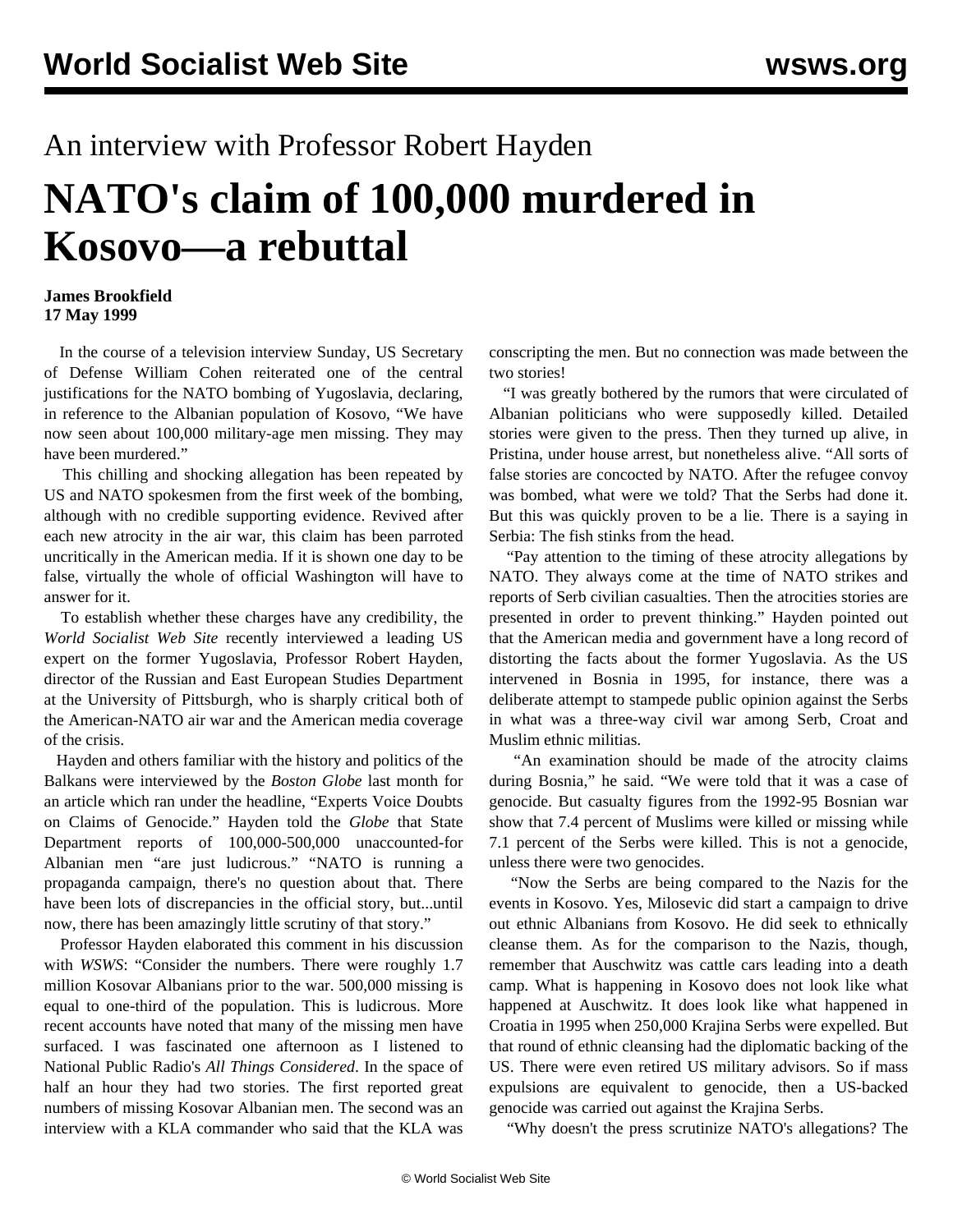## An interview with Professor Robert Hayden **NATO's claim of 100,000 murdered in Kosovo—a rebuttal**

## **James Brookfield 17 May 1999**

 In the course of a television interview Sunday, US Secretary of Defense William Cohen reiterated one of the central justifications for the NATO bombing of Yugoslavia, declaring, in reference to the Albanian population of Kosovo, "We have now seen about 100,000 military-age men missing. They may have been murdered."

 This chilling and shocking allegation has been repeated by US and NATO spokesmen from the first week of the bombing, although with no credible supporting evidence. Revived after each new atrocity in the air war, this claim has been parroted uncritically in the American media. If it is shown one day to be false, virtually the whole of official Washington will have to answer for it.

 To establish whether these charges have any credibility, the *World Socialist Web Site* recently interviewed a leading US expert on the former Yugoslavia, Professor Robert Hayden, director of the Russian and East European Studies Department at the University of Pittsburgh, who is sharply critical both of the American-NATO air war and the American media coverage of the crisis.

 Hayden and others familiar with the history and politics of the Balkans were interviewed by the *Boston Globe* last month for an article which ran under the headline, "Experts Voice Doubts on Claims of Genocide." Hayden told the *Globe* that State Department reports of 100,000-500,000 unaccounted-for Albanian men "are just ludicrous." "NATO is running a propaganda campaign, there's no question about that. There have been lots of discrepancies in the official story, but...until now, there has been amazingly little scrutiny of that story."

 Professor Hayden elaborated this comment in his discussion with *WSWS*: "Consider the numbers. There were roughly 1.7 million Kosovar Albanians prior to the war. 500,000 missing is equal to one-third of the population. This is ludicrous. More recent accounts have noted that many of the missing men have surfaced. I was fascinated one afternoon as I listened to National Public Radio's *All Things Considered*. In the space of half an hour they had two stories. The first reported great numbers of missing Kosovar Albanian men. The second was an interview with a KLA commander who said that the KLA was

conscripting the men. But no connection was made between the two stories!

 "I was greatly bothered by the rumors that were circulated of Albanian politicians who were supposedly killed. Detailed stories were given to the press. Then they turned up alive, in Pristina, under house arrest, but nonetheless alive. "All sorts of false stories are concocted by NATO. After the refugee convoy was bombed, what were we told? That the Serbs had done it. But this was quickly proven to be a lie. There is a saying in Serbia: The fish stinks from the head.

 "Pay attention to the timing of these atrocity allegations by NATO. They always come at the time of NATO strikes and reports of Serb civilian casualties. Then the atrocities stories are presented in order to prevent thinking." Hayden pointed out that the American media and government have a long record of distorting the facts about the former Yugoslavia. As the US intervened in Bosnia in 1995, for instance, there was a deliberate attempt to stampede public opinion against the Serbs in what was a three-way civil war among Serb, Croat and Muslim ethnic militias.

 "An examination should be made of the atrocity claims during Bosnia," he said. "We were told that it was a case of genocide. But casualty figures from the 1992-95 Bosnian war show that 7.4 percent of Muslims were killed or missing while 7.1 percent of the Serbs were killed. This is not a genocide, unless there were two genocides.

 "Now the Serbs are being compared to the Nazis for the events in Kosovo. Yes, Milosevic did start a campaign to drive out ethnic Albanians from Kosovo. He did seek to ethnically cleanse them. As for the comparison to the Nazis, though, remember that Auschwitz was cattle cars leading into a death camp. What is happening in Kosovo does not look like what happened at Auschwitz. It does look like what happened in Croatia in 1995 when 250,000 Krajina Serbs were expelled. But that round of ethnic cleansing had the diplomatic backing of the US. There were even retired US military advisors. So if mass expulsions are equivalent to genocide, then a US-backed genocide was carried out against the Krajina Serbs.

"Why doesn't the press scrutinize NATO's allegations? The